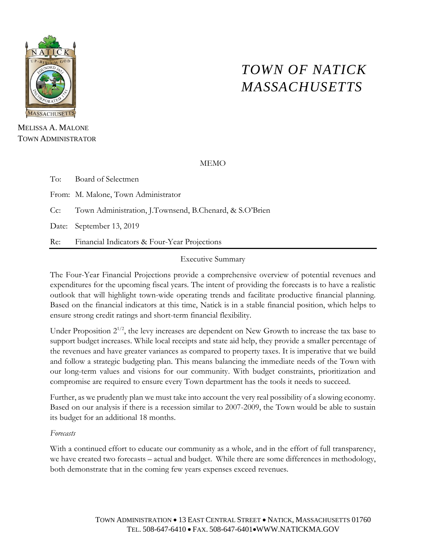

# *TOWN OF NATICK MASSACHUSETTS*

MELISSA A. MALONE TOWN ADMINISTRATOR

MEMO

To: Board of Selectmen From: M. Malone, Town Administrator Cc: Town Administration, J.Townsend, B.Chenard, & S.O'Brien Date: September 13, 2019 Re: Financial Indicators & Four-Year Projections

Executive Summary

The Four-Year Financial Projections provide a comprehensive overview of potential revenues and expenditures for the upcoming fiscal years. The intent of providing the forecasts is to have a realistic outlook that will highlight town-wide operating trends and facilitate productive financial planning. Based on the financial indicators at this time, Natick is in a stable financial position, which helps to ensure strong credit ratings and short-term financial flexibility.

Under Proposition  $2^{1/2}$ , the levy increases are dependent on New Growth to increase the tax base to support budget increases. While local receipts and state aid help, they provide a smaller percentage of the revenues and have greater variances as compared to property taxes. It is imperative that we build and follow a strategic budgeting plan. This means balancing the immediate needs of the Town with our long-term values and visions for our community. With budget constraints, prioritization and compromise are required to ensure every Town department has the tools it needs to succeed.

Further, as we prudently plan we must take into account the very real possibility of a slowing economy. Based on our analysis if there is a recession similar to 2007-2009, the Town would be able to sustain its budget for an additional 18 months.

# *Forecasts*

With a continued effort to educate our community as a whole, and in the effort of full transparency, we have created two forecasts – actual and budget. While there are some differences in methodology, both demonstrate that in the coming few years expenses exceed revenues.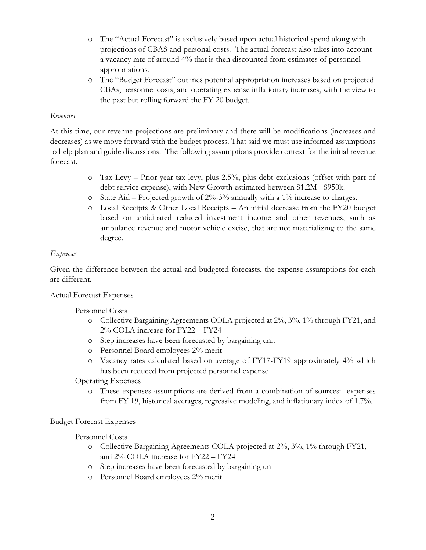- o The "Actual Forecast" is exclusively based upon actual historical spend along with projections of CBAS and personal costs. The actual forecast also takes into account a vacancy rate of around 4% that is then discounted from estimates of personnel appropriations.
- o The "Budget Forecast" outlines potential appropriation increases based on projected CBAs, personnel costs, and operating expense inflationary increases, with the view to the past but rolling forward the FY 20 budget.

#### *Revenues*

At this time, our revenue projections are preliminary and there will be modifications (increases and decreases) as we move forward with the budget process. That said we must use informed assumptions to help plan and guide discussions. The following assumptions provide context for the initial revenue forecast.

- o Tax Levy Prior year tax levy, plus 2.5%, plus debt exclusions (offset with part of debt service expense), with New Growth estimated between \$1.2M - \$950k.
- $\circ$  State Aid Projected growth of 2%-3% annually with a 1% increase to charges.
- o Local Receipts & Other Local Receipts An initial decrease from the FY20 budget based on anticipated reduced investment income and other revenues, such as ambulance revenue and motor vehicle excise, that are not materializing to the same degree.

## *Expenses*

Given the difference between the actual and budgeted forecasts, the expense assumptions for each are different.

#### Actual Forecast Expenses

# Personnel Costs

- o Collective Bargaining Agreements COLA projected at 2%, 3%, 1% through FY21, and 2% COLA increase for FY22 – FY24
- o Step increases have been forecasted by bargaining unit
- o Personnel Board employees 2% merit
- o Vacancy rates calculated based on average of FY17-FY19 approximately 4% which has been reduced from projected personnel expense

# Operating Expenses

o These expenses assumptions are derived from a combination of sources: expenses from FY 19, historical averages, regressive modeling, and inflationary index of 1.7%.

#### Budget Forecast Expenses

# Personnel Costs

- o Collective Bargaining Agreements COLA projected at 2%, 3%, 1% through FY21, and 2% COLA increase for FY22 – FY24
- o Step increases have been forecasted by bargaining unit
- o Personnel Board employees 2% merit